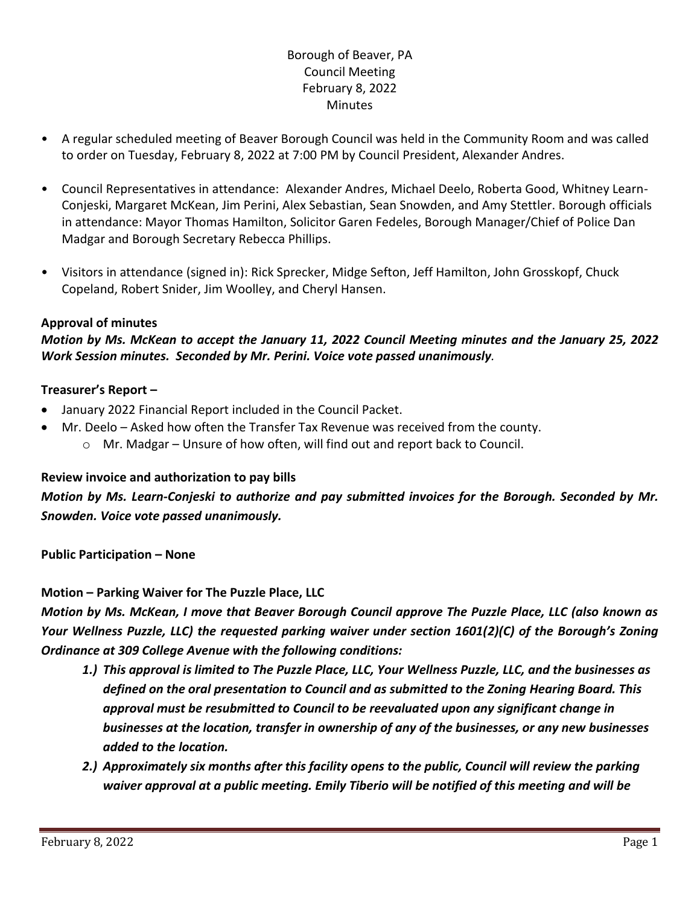## Borough of Beaver, PA Council Meeting February 8, 2022 **Minutes**

- A regular scheduled meeting of Beaver Borough Council was held in the Community Room and was called to order on Tuesday, February 8, 2022 at 7:00 PM by Council President, Alexander Andres.
- Council Representatives in attendance: Alexander Andres, Michael Deelo, Roberta Good, Whitney Learn-Conjeski, Margaret McKean, Jim Perini, Alex Sebastian, Sean Snowden, and Amy Stettler. Borough officials in attendance: Mayor Thomas Hamilton, Solicitor Garen Fedeles, Borough Manager/Chief of Police Dan Madgar and Borough Secretary Rebecca Phillips.
- Visitors in attendance (signed in): Rick Sprecker, Midge Sefton, Jeff Hamilton, John Grosskopf, Chuck Copeland, Robert Snider, Jim Woolley, and Cheryl Hansen.

## **Approval of minutes**

## *Motion by Ms. McKean to accept the January 11, 2022 Council Meeting minutes and the January 25, 2022 Work Session minutes. Seconded by Mr. Perini. Voice vote passed unanimously.*

#### **Treasurer's Report –**

- January 2022 Financial Report included in the Council Packet.
- Mr. Deelo Asked how often the Transfer Tax Revenue was received from the county.
	- $\circ$  Mr. Madgar Unsure of how often, will find out and report back to Council.

#### **Review invoice and authorization to pay bills**

*Motion by Ms. Learn-Conjeski to authorize and pay submitted invoices for the Borough. Seconded by Mr. Snowden. Voice vote passed unanimously.*

**Public Participation – None**

#### **Motion – Parking Waiver for The Puzzle Place, LLC**

*Motion by Ms. McKean, I move that Beaver Borough Council approve The Puzzle Place, LLC (also known as Your Wellness Puzzle, LLC) the requested parking waiver under section 1601(2)(C) of the Borough's Zoning Ordinance at 309 College Avenue with the following conditions:*

- *1.) This approval is limited to The Puzzle Place, LLC, Your Wellness Puzzle, LLC, and the businesses as defined on the oral presentation to Council and as submitted to the Zoning Hearing Board. This approval must be resubmitted to Council to be reevaluated upon any significant change in businesses at the location, transfer in ownership of any of the businesses, or any new businesses added to the location.*
- *2.) Approximately six months after this facility opens to the public, Council will review the parking waiver approval at a public meeting. Emily Tiberio will be notified of this meeting and will be*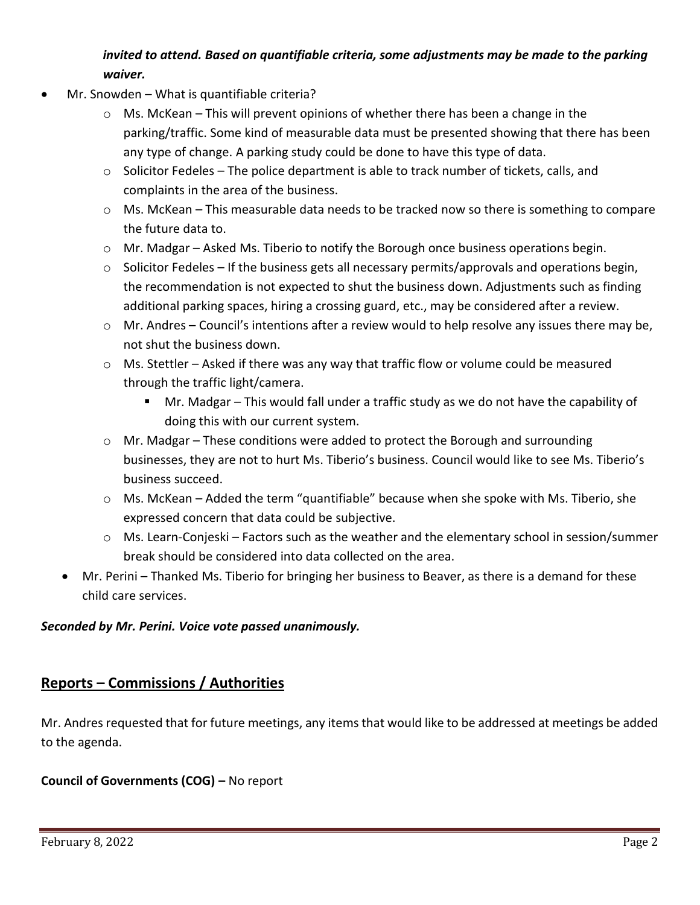# *invited to attend. Based on quantifiable criteria, some adjustments may be made to the parking waiver.*

- Mr. Snowden What is quantifiable criteria?
	- o Ms. McKean This will prevent opinions of whether there has been a change in the parking/traffic. Some kind of measurable data must be presented showing that there has been any type of change. A parking study could be done to have this type of data.
	- $\circ$  Solicitor Fedeles The police department is able to track number of tickets, calls, and complaints in the area of the business.
	- $\circ$  Ms. McKean This measurable data needs to be tracked now so there is something to compare the future data to.
	- $\circ$  Mr. Madgar Asked Ms. Tiberio to notify the Borough once business operations begin.
	- o Solicitor Fedeles If the business gets all necessary permits/approvals and operations begin, the recommendation is not expected to shut the business down. Adjustments such as finding additional parking spaces, hiring a crossing guard, etc., may be considered after a review.
	- $\circ$  Mr. Andres Council's intentions after a review would to help resolve any issues there may be, not shut the business down.
	- o Ms. Stettler Asked if there was any way that traffic flow or volume could be measured through the traffic light/camera.
		- Mr. Madgar This would fall under a traffic study as we do not have the capability of doing this with our current system.
	- $\circ$  Mr. Madgar These conditions were added to protect the Borough and surrounding businesses, they are not to hurt Ms. Tiberio's business. Council would like to see Ms. Tiberio's business succeed.
	- $\circ$  Ms. McKean Added the term "quantifiable" because when she spoke with Ms. Tiberio, she expressed concern that data could be subjective.
	- $\circ$  Ms. Learn-Conjeski Factors such as the weather and the elementary school in session/summer break should be considered into data collected on the area.
	- Mr. Perini Thanked Ms. Tiberio for bringing her business to Beaver, as there is a demand for these child care services.

## *Seconded by Mr. Perini. Voice vote passed unanimously.*

# **Reports – Commissions / Authorities**

Mr. Andres requested that for future meetings, any items that would like to be addressed at meetings be added to the agenda.

## **Council of Governments (COG) –** No report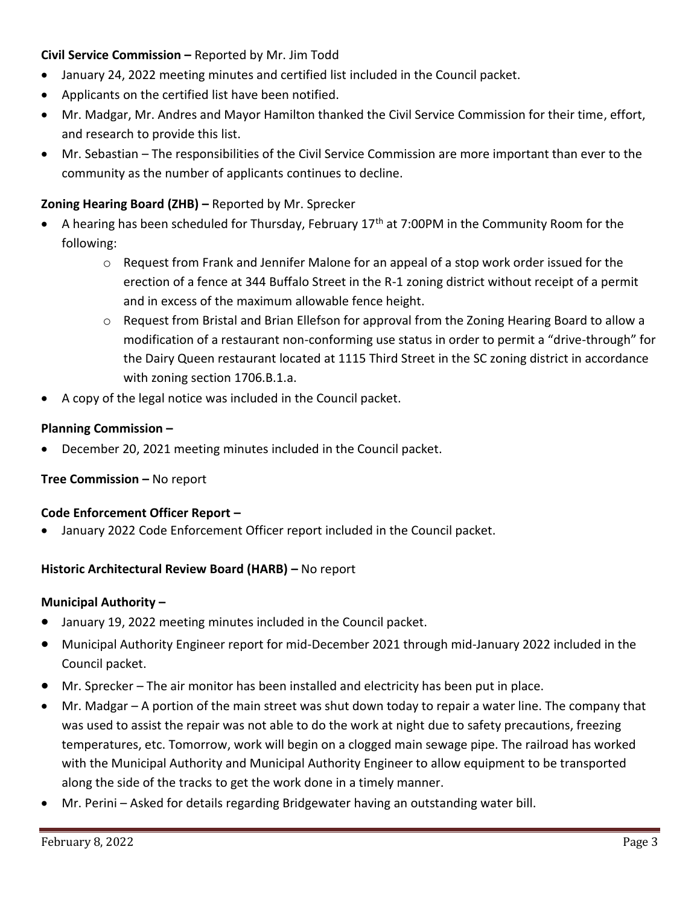## **Civil Service Commission –** Reported by Mr. Jim Todd

- January 24, 2022 meeting minutes and certified list included in the Council packet.
- Applicants on the certified list have been notified.
- Mr. Madgar, Mr. Andres and Mayor Hamilton thanked the Civil Service Commission for their time, effort, and research to provide this list.
- Mr. Sebastian The responsibilities of the Civil Service Commission are more important than ever to the community as the number of applicants continues to decline.

## **Zoning Hearing Board (ZHB) –** Reported by Mr. Sprecker

- A hearing has been scheduled for Thursday, February 17<sup>th</sup> at 7:00PM in the Community Room for the following:
	- $\circ$  Request from Frank and Jennifer Malone for an appeal of a stop work order issued for the erection of a fence at 344 Buffalo Street in the R-1 zoning district without receipt of a permit and in excess of the maximum allowable fence height.
	- o Request from Bristal and Brian Ellefson for approval from the Zoning Hearing Board to allow a modification of a restaurant non-conforming use status in order to permit a "drive-through" for the Dairy Queen restaurant located at 1115 Third Street in the SC zoning district in accordance with zoning section 1706.B.1.a.
- A copy of the legal notice was included in the Council packet.

#### **Planning Commission –**

• December 20, 2021 meeting minutes included in the Council packet.

## **Tree Commission – No report**

#### **Code Enforcement Officer Report –**

• January 2022 Code Enforcement Officer report included in the Council packet.

## **Historic Architectural Review Board (HARB) –** No report

#### **Municipal Authority –**

- January 19, 2022 meeting minutes included in the Council packet.
- Municipal Authority Engineer report for mid-December 2021 through mid-January 2022 included in the Council packet.
- Mr. Sprecker The air monitor has been installed and electricity has been put in place.
- Mr. Madgar A portion of the main street was shut down today to repair a water line. The company that was used to assist the repair was not able to do the work at night due to safety precautions, freezing temperatures, etc. Tomorrow, work will begin on a clogged main sewage pipe. The railroad has worked with the Municipal Authority and Municipal Authority Engineer to allow equipment to be transported along the side of the tracks to get the work done in a timely manner.
- Mr. Perini Asked for details regarding Bridgewater having an outstanding water bill.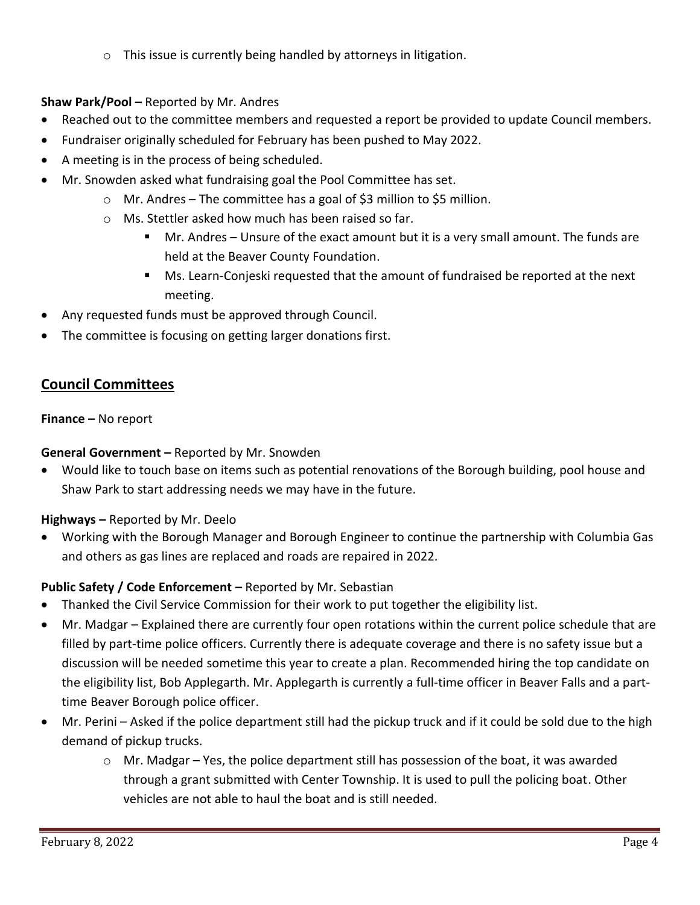o This issue is currently being handled by attorneys in litigation.

## **Shaw Park/Pool –** Reported by Mr. Andres

- Reached out to the committee members and requested a report be provided to update Council members.
- Fundraiser originally scheduled for February has been pushed to May 2022.
- A meeting is in the process of being scheduled.
- Mr. Snowden asked what fundraising goal the Pool Committee has set.
	- o Mr. Andres The committee has a goal of \$3 million to \$5 million.
	- o Ms. Stettler asked how much has been raised so far.
		- Mr. Andres Unsure of the exact amount but it is a very small amount. The funds are held at the Beaver County Foundation.
		- Ms. Learn-Conjeski requested that the amount of fundraised be reported at the next meeting.
- Any requested funds must be approved through Council.
- The committee is focusing on getting larger donations first.

# **Council Committees**

## **Finance –** No report

## **General Government –** Reported by Mr. Snowden

• Would like to touch base on items such as potential renovations of the Borough building, pool house and Shaw Park to start addressing needs we may have in the future.

## **Highways –** Reported by Mr. Deelo

• Working with the Borough Manager and Borough Engineer to continue the partnership with Columbia Gas and others as gas lines are replaced and roads are repaired in 2022.

## **Public Safety / Code Enforcement –** Reported by Mr. Sebastian

- Thanked the Civil Service Commission for their work to put together the eligibility list.
- Mr. Madgar Explained there are currently four open rotations within the current police schedule that are filled by part-time police officers. Currently there is adequate coverage and there is no safety issue but a discussion will be needed sometime this year to create a plan. Recommended hiring the top candidate on the eligibility list, Bob Applegarth. Mr. Applegarth is currently a full-time officer in Beaver Falls and a parttime Beaver Borough police officer.
- Mr. Perini Asked if the police department still had the pickup truck and if it could be sold due to the high demand of pickup trucks.
	- $\circ$  Mr. Madgar Yes, the police department still has possession of the boat, it was awarded through a grant submitted with Center Township. It is used to pull the policing boat. Other vehicles are not able to haul the boat and is still needed.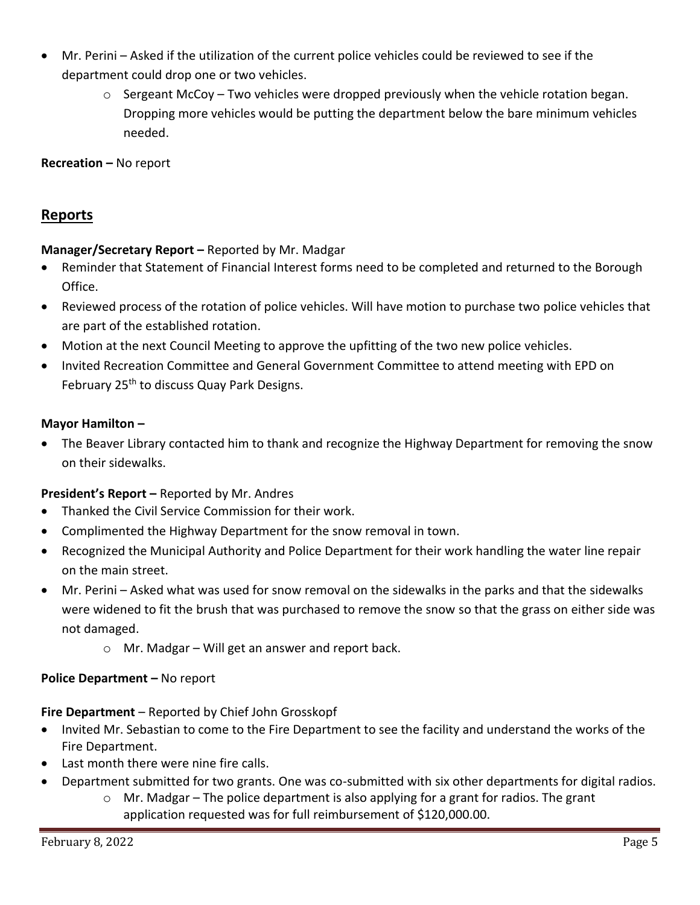- Mr. Perini Asked if the utilization of the current police vehicles could be reviewed to see if the department could drop one or two vehicles.
	- o Sergeant McCoy Two vehicles were dropped previously when the vehicle rotation began. Dropping more vehicles would be putting the department below the bare minimum vehicles needed.

**Recreation –** No report

# **Reports**

## **Manager/Secretary Report –** Reported by Mr. Madgar

- Reminder that Statement of Financial Interest forms need to be completed and returned to the Borough Office.
- Reviewed process of the rotation of police vehicles. Will have motion to purchase two police vehicles that are part of the established rotation.
- Motion at the next Council Meeting to approve the upfitting of the two new police vehicles.
- Invited Recreation Committee and General Government Committee to attend meeting with EPD on February 25<sup>th</sup> to discuss Quay Park Designs.

#### **Mayor Hamilton –**

• The Beaver Library contacted him to thank and recognize the Highway Department for removing the snow on their sidewalks.

## **President's Report –** Reported by Mr. Andres

- Thanked the Civil Service Commission for their work.
- Complimented the Highway Department for the snow removal in town.
- Recognized the Municipal Authority and Police Department for their work handling the water line repair on the main street.
- Mr. Perini Asked what was used for snow removal on the sidewalks in the parks and that the sidewalks were widened to fit the brush that was purchased to remove the snow so that the grass on either side was not damaged.
	- $\circ$  Mr. Madgar Will get an answer and report back.

## **Police Department – No report**

## **Fire Department** – Reported by Chief John Grosskopf

- Invited Mr. Sebastian to come to the Fire Department to see the facility and understand the works of the Fire Department.
- Last month there were nine fire calls.
- Department submitted for two grants. One was co-submitted with six other departments for digital radios.
	- o Mr. Madgar The police department is also applying for a grant for radios. The grant application requested was for full reimbursement of \$120,000.00.